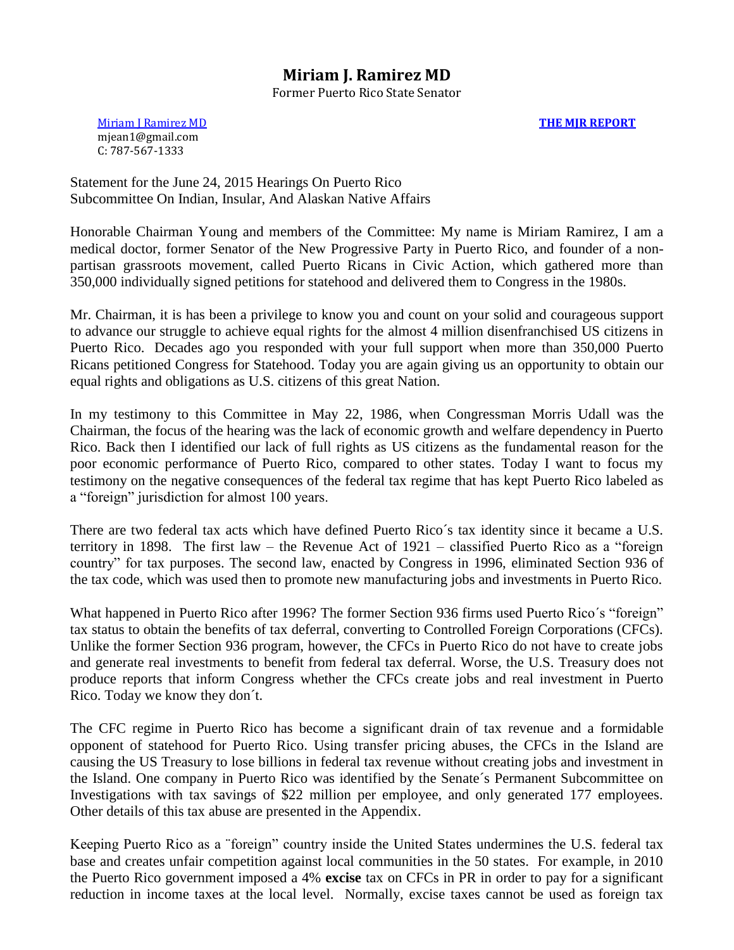### **Miriam J. Ramirez MD**

Former Puerto Rico State Senator

[Miriam J Ramirez MD](http://themjreport.blogspot.com/p/miriam-j.html) mjean1@gmail.com C: 787-567-1333

**[THE MJR REPORT](http://themjreport.blogspot.com/)**

Statement for the June 24, 2015 Hearings On Puerto Rico Subcommittee On Indian, Insular, And Alaskan Native Affairs

Honorable Chairman Young and members of the Committee: My name is Miriam Ramirez, I am a medical doctor, former Senator of the New Progressive Party in Puerto Rico, and founder of a nonpartisan grassroots movement, called Puerto Ricans in Civic Action, which gathered more than 350,000 individually signed petitions for statehood and delivered them to Congress in the 1980s.

Mr. Chairman, it is has been a privilege to know you and count on your solid and courageous support to advance our struggle to achieve equal rights for the almost 4 million disenfranchised US citizens in Puerto Rico. Decades ago you responded with your full support when more than 350,000 Puerto Ricans petitioned Congress for Statehood. Today you are again giving us an opportunity to obtain our equal rights and obligations as U.S. citizens of this great Nation.

In my testimony to this Committee in May 22, 1986, when Congressman Morris Udall was the Chairman, the focus of the hearing was the lack of economic growth and welfare dependency in Puerto Rico. Back then I identified our lack of full rights as US citizens as the fundamental reason for the poor economic performance of Puerto Rico, compared to other states. Today I want to focus my testimony on the negative consequences of the federal tax regime that has kept Puerto Rico labeled as a "foreign" jurisdiction for almost 100 years.

There are two federal tax acts which have defined Puerto Rico´s tax identity since it became a U.S. territory in 1898. The first law – the Revenue Act of 1921 – classified Puerto Rico as a "foreign country" for tax purposes. The second law, enacted by Congress in 1996, eliminated Section 936 of the tax code, which was used then to promote new manufacturing jobs and investments in Puerto Rico.

What happened in Puerto Rico after 1996? The former Section 936 firms used Puerto Rico´s "foreign" tax status to obtain the benefits of tax deferral, converting to Controlled Foreign Corporations (CFCs). Unlike the former Section 936 program, however, the CFCs in Puerto Rico do not have to create jobs and generate real investments to benefit from federal tax deferral. Worse, the U.S. Treasury does not produce reports that inform Congress whether the CFCs create jobs and real investment in Puerto Rico. Today we know they don´t.

The CFC regime in Puerto Rico has become a significant drain of tax revenue and a formidable opponent of statehood for Puerto Rico. Using transfer pricing abuses, the CFCs in the Island are causing the US Treasury to lose billions in federal tax revenue without creating jobs and investment in the Island. One company in Puerto Rico was identified by the Senate´s Permanent Subcommittee on Investigations with tax savings of \$22 million per employee, and only generated 177 employees. Other details of this tax abuse are presented in the Appendix.

Keeping Puerto Rico as a ¨foreign" country inside the United States undermines the U.S. federal tax base and creates unfair competition against local communities in the 50 states. For example, in 2010 the Puerto Rico government imposed a 4% **excise** tax on CFCs in PR in order to pay for a significant reduction in income taxes at the local level. Normally, excise taxes cannot be used as foreign tax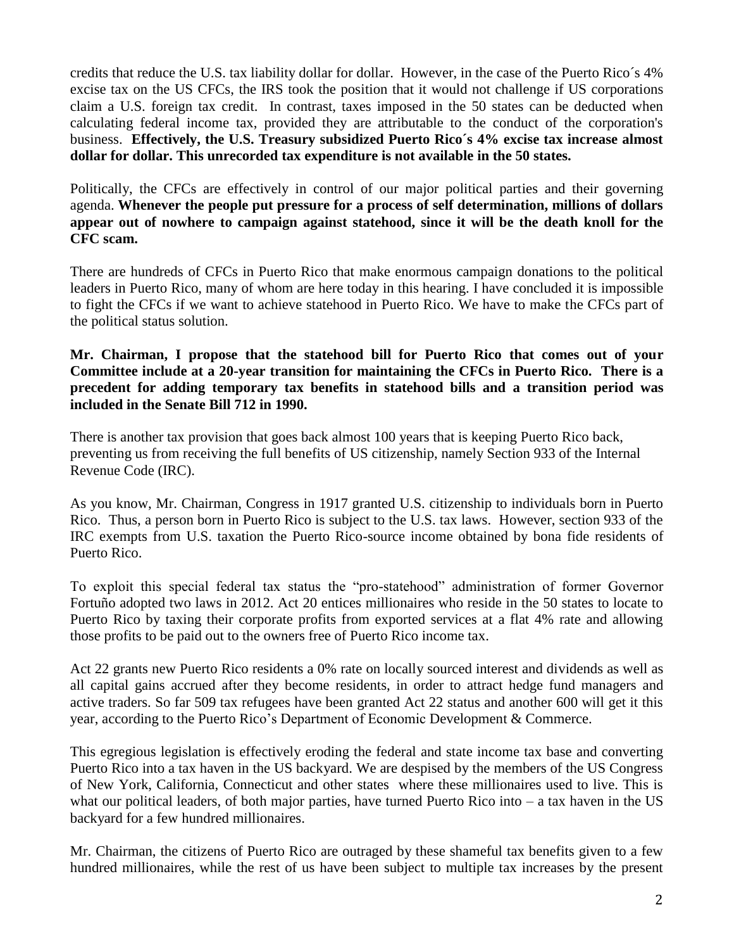credits that reduce the U.S. tax liability dollar for dollar. However, in the case of the Puerto Rico´s 4% excise tax on the US CFCs, the IRS took the position that it would not challenge if US corporations claim a U.S. foreign tax credit. In contrast, taxes imposed in the 50 states can be deducted when calculating federal income tax, provided they are attributable to the conduct of the corporation's business. **Effectively, the U.S. Treasury subsidized Puerto Rico´s 4% excise tax increase almost dollar for dollar. This unrecorded tax expenditure is not available in the 50 states.** 

Politically, the CFCs are effectively in control of our major political parties and their governing agenda. **Whenever the people put pressure for a process of self determination, millions of dollars appear out of nowhere to campaign against statehood, since it will be the death knoll for the CFC scam.** 

There are hundreds of CFCs in Puerto Rico that make enormous campaign donations to the political leaders in Puerto Rico, many of whom are here today in this hearing. I have concluded it is impossible to fight the CFCs if we want to achieve statehood in Puerto Rico. We have to make the CFCs part of the political status solution.

#### **Mr. Chairman, I propose that the statehood bill for Puerto Rico that comes out of your Committee include at a 20-year transition for maintaining the CFCs in Puerto Rico. There is a precedent for adding temporary tax benefits in statehood bills and a transition period was included in the Senate Bill 712 in 1990.**

There is another tax provision that goes back almost 100 years that is keeping Puerto Rico back, preventing us from receiving the full benefits of US citizenship, namely Section 933 of the Internal Revenue Code (IRC).

As you know, Mr. Chairman, Congress in 1917 granted U.S. citizenship to individuals born in Puerto Rico. Thus, a person born in Puerto Rico is subject to the U.S. tax laws. However, section 933 of the IRC exempts from U.S. taxation the Puerto Rico-source income obtained by bona fide residents of Puerto Rico.

To exploit this special federal tax status the "pro-statehood" administration of former Governor Fortuño adopted two laws in 2012. Act 20 entices millionaires who reside in the 50 states to locate to Puerto Rico by taxing their corporate profits from exported services at a flat 4% rate and allowing those profits to be paid out to the owners free of Puerto Rico income tax.

Act 22 grants new Puerto Rico residents a 0% rate on locally sourced interest and dividends as well as all capital gains accrued after they become residents, in order to attract hedge fund managers and active traders. So far 509 tax refugees have been granted Act 22 status and another 600 will get it this year, according to the Puerto Rico's Department of Economic Development & Commerce.

This egregious legislation is effectively eroding the federal and state income tax base and converting Puerto Rico into a tax haven in the US backyard. We are despised by the members of the US Congress of New York, California, Connecticut and other states where these millionaires used to live. This is what our political leaders, of both major parties, have turned Puerto Rico into – a tax haven in the US backyard for a few hundred millionaires.

Mr. Chairman, the citizens of Puerto Rico are outraged by these shameful tax benefits given to a few hundred millionaires, while the rest of us have been subject to multiple tax increases by the present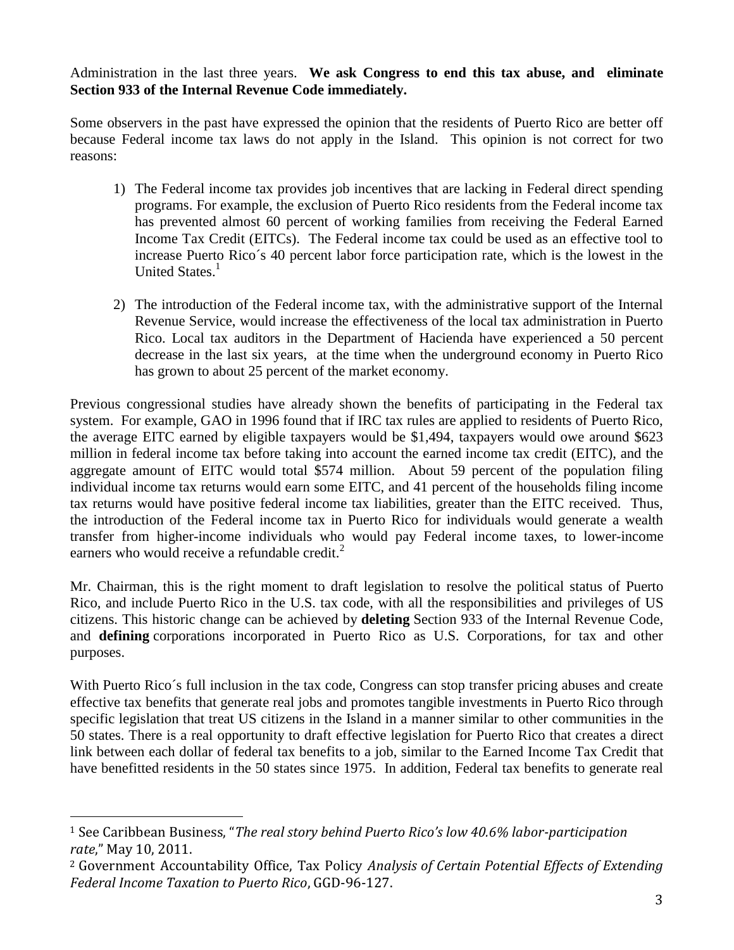Administration in the last three years. **We ask Congress to end this tax abuse, and eliminate Section 933 of the Internal Revenue Code immediately.** 

Some observers in the past have expressed the opinion that the residents of Puerto Rico are better off because Federal income tax laws do not apply in the Island. This opinion is not correct for two reasons:

- 1) The Federal income tax provides job incentives that are lacking in Federal direct spending programs. For example, the exclusion of Puerto Rico residents from the Federal income tax has prevented almost 60 percent of working families from receiving the Federal Earned Income Tax Credit (EITCs). The Federal income tax could be used as an effective tool to increase Puerto Rico´s 40 percent labor force participation rate, which is the lowest in the United States.<sup>1</sup>
- 2) The introduction of the Federal income tax, with the administrative support of the Internal Revenue Service, would increase the effectiveness of the local tax administration in Puerto Rico. Local tax auditors in the Department of Hacienda have experienced a 50 percent decrease in the last six years, at the time when the underground economy in Puerto Rico has grown to about 25 percent of the market economy.

Previous congressional studies have already shown the benefits of participating in the Federal tax system. For example, GAO in 1996 found that if IRC tax rules are applied to residents of Puerto Rico, the average EITC earned by eligible taxpayers would be \$1,494, taxpayers would owe around \$623 million in federal income tax before taking into account the earned income tax credit (EITC), and the aggregate amount of EITC would total \$574 million. About 59 percent of the population filing individual income tax returns would earn some EITC, and 41 percent of the households filing income tax returns would have positive federal income tax liabilities, greater than the EITC received. Thus, the introduction of the Federal income tax in Puerto Rico for individuals would generate a wealth transfer from higher-income individuals who would pay Federal income taxes, to lower-income earners who would receive a refundable credit.<sup>2</sup>

Mr. Chairman, this is the right moment to draft legislation to resolve the political status of Puerto Rico, and include Puerto Rico in the U.S. tax code, with all the responsibilities and privileges of US citizens. This historic change can be achieved by **deleting** Section 933 of the Internal Revenue Code, and **defining** corporations incorporated in Puerto Rico as U.S. Corporations, for tax and other purposes.

With Puerto Rico's full inclusion in the tax code, Congress can stop transfer pricing abuses and create effective tax benefits that generate real jobs and promotes tangible investments in Puerto Rico through specific legislation that treat US citizens in the Island in a manner similar to other communities in the 50 states. There is a real opportunity to draft effective legislation for Puerto Rico that creates a direct link between each dollar of federal tax benefits to a job, similar to the Earned Income Tax Credit that have benefitted residents in the 50 states since 1975. In addition, Federal tax benefits to generate real

 $\overline{a}$ 

<sup>1</sup> See Caribbean Business, "*The real story behind Puerto Rico's low 40.6% labor-participation rate*," May 10, 2011.

<sup>2</sup> Government Accountability Office, Tax Policy *Analysis of Certain Potential Effects of Extending Federal Income Taxation to Puerto Rico*, GGD-96-127.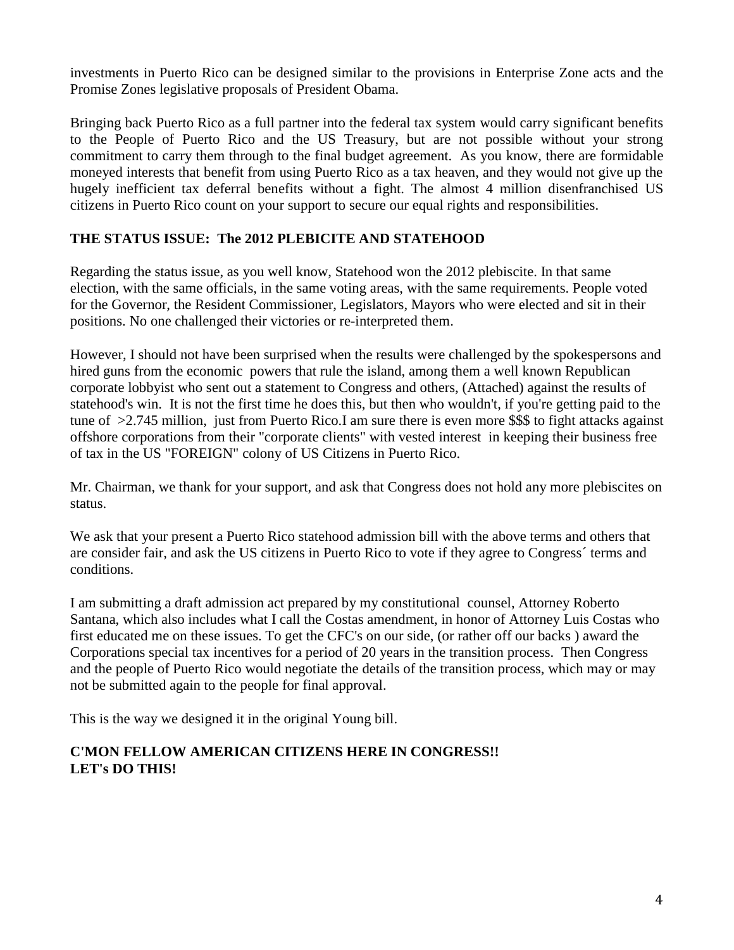investments in Puerto Rico can be designed similar to the provisions in Enterprise Zone acts and the Promise Zones legislative proposals of President Obama.

Bringing back Puerto Rico as a full partner into the federal tax system would carry significant benefits to the People of Puerto Rico and the US Treasury, but are not possible without your strong commitment to carry them through to the final budget agreement. As you know, there are formidable moneyed interests that benefit from using Puerto Rico as a tax heaven, and they would not give up the hugely inefficient tax deferral benefits without a fight. The almost 4 million disenfranchised US citizens in Puerto Rico count on your support to secure our equal rights and responsibilities.

### **THE STATUS ISSUE: The 2012 PLEBICITE AND STATEHOOD**

Regarding the status issue, as you well know, Statehood won the 2012 plebiscite. In that same election, with the same officials, in the same voting areas, with the same requirements. People voted for the Governor, the Resident Commissioner, Legislators, Mayors who were elected and sit in their positions. No one challenged their victories or re-interpreted them.

However, I should not have been surprised when the results were challenged by the spokespersons and hired guns from the economic powers that rule the island, among them a well known Republican corporate lobbyist who sent out a statement to Congress and others, (Attached) against the results of statehood's win. It is not the first time he does this, but then who wouldn't, if you're getting paid to the tune of >2.745 million, just from Puerto Rico.I am sure there is even more \$\$\$ to fight attacks against offshore corporations from their "corporate clients" with vested interest in keeping their business free of tax in the US "FOREIGN" colony of US Citizens in Puerto Rico.

Mr. Chairman, we thank for your support, and ask that Congress does not hold any more plebiscites on status.

We ask that your present a Puerto Rico statehood admission bill with the above terms and others that are consider fair, and ask the US citizens in Puerto Rico to vote if they agree to Congress´ terms and conditions.

I am submitting a draft admission act prepared by my constitutional counsel, Attorney Roberto Santana, which also includes what I call the Costas amendment, in honor of Attorney Luis Costas who first educated me on these issues. To get the CFC's on our side, (or rather off our backs ) award the Corporations special tax incentives for a period of 20 years in the transition process. Then Congress and the people of Puerto Rico would negotiate the details of the transition process, which may or may not be submitted again to the people for final approval.

This is the way we designed it in the original Young bill.

### **C'MON FELLOW AMERICAN CITIZENS HERE IN CONGRESS!! LET's DO THIS!**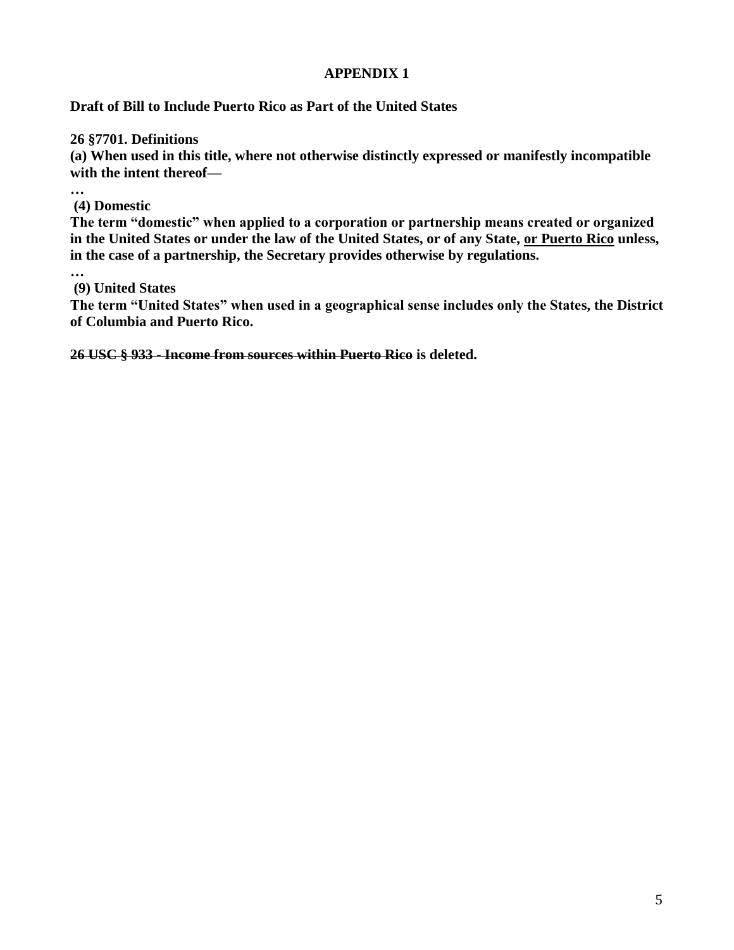### **APPENDIX 1**

### **Draft of Bill to Include Puerto Rico as Part of the United States**

**26 §7701. Definitions**

**(a) When used in this title, where not otherwise distinctly expressed or manifestly incompatible with the intent thereof—**

**…**

**(4) Domestic**

**The term "domestic" when applied to a corporation or partnership means created or organized in the United States or under the law of the United States, or of any State, or Puerto Rico unless, in the case of a partnership, the Secretary provides otherwise by regulations.**

**… (9) United States**

**The term "United States" when used in a geographical sense includes only the States, the District of Columbia and Puerto Rico.** 

**26 USC § 933 - Income from sources within Puerto Rico is deleted.**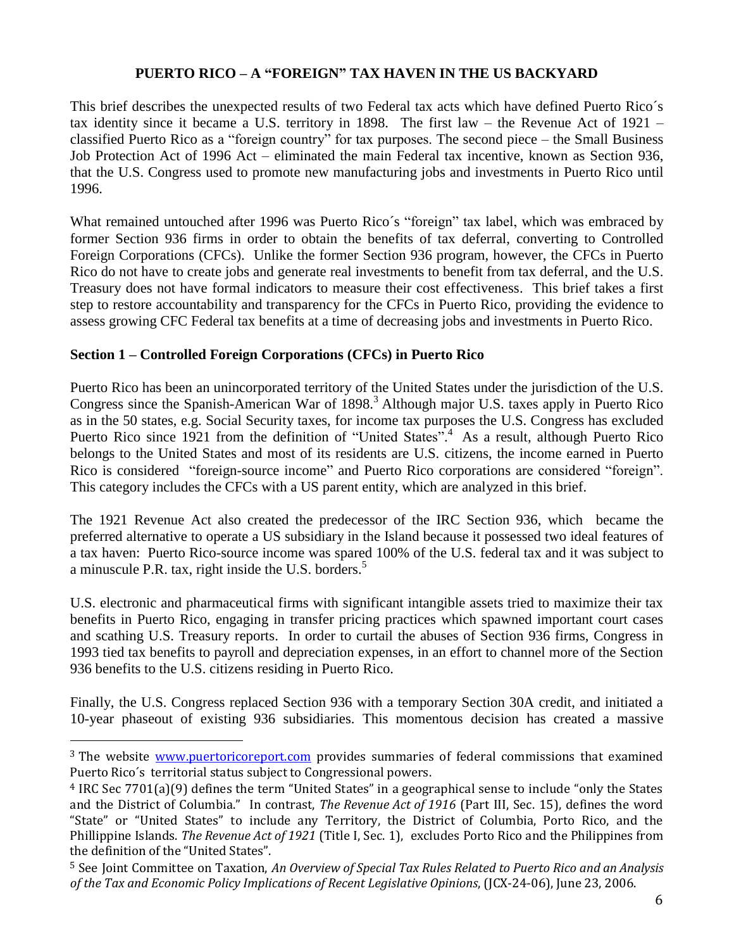### **PUERTO RICO – A "FOREIGN" TAX HAVEN IN THE US BACKYARD**

This brief describes the unexpected results of two Federal tax acts which have defined Puerto Rico´s tax identity since it became a U.S. territory in 1898. The first law – the Revenue Act of 1921 – classified Puerto Rico as a "foreign country" for tax purposes. The second piece – the Small Business Job Protection Act of 1996 Act – eliminated the main Federal tax incentive, known as Section 936, that the U.S. Congress used to promote new manufacturing jobs and investments in Puerto Rico until 1996.

What remained untouched after 1996 was Puerto Rico´s "foreign" tax label, which was embraced by former Section 936 firms in order to obtain the benefits of tax deferral, converting to Controlled Foreign Corporations (CFCs). Unlike the former Section 936 program, however, the CFCs in Puerto Rico do not have to create jobs and generate real investments to benefit from tax deferral, and the U.S. Treasury does not have formal indicators to measure their cost effectiveness. This brief takes a first step to restore accountability and transparency for the CFCs in Puerto Rico, providing the evidence to assess growing CFC Federal tax benefits at a time of decreasing jobs and investments in Puerto Rico.

### **Section 1 – Controlled Foreign Corporations (CFCs) in Puerto Rico**

 $\overline{a}$ 

Puerto Rico has been an unincorporated territory of the United States under the jurisdiction of the U.S. Congress since the Spanish-American War of 1898.<sup>3</sup> Although major U.S. taxes apply in Puerto Rico as in the 50 states, e.g. Social Security taxes, for income tax purposes the U.S. Congress has excluded Puerto Rico since 1921 from the definition of "United States".<sup>4</sup> As a result, although Puerto Rico belongs to the United States and most of its residents are U.S. citizens, the income earned in Puerto Rico is considered "foreign-source income" and Puerto Rico corporations are considered "foreign". This category includes the CFCs with a US parent entity, which are analyzed in this brief.

The 1921 Revenue Act also created the predecessor of the IRC Section 936, which became the preferred alternative to operate a US subsidiary in the Island because it possessed two ideal features of a tax haven: Puerto Rico-source income was spared 100% of the U.S. federal tax and it was subject to a minuscule P.R. tax, right inside the U.S. borders.<sup>5</sup>

U.S. electronic and pharmaceutical firms with significant intangible assets tried to maximize their tax benefits in Puerto Rico, engaging in transfer pricing practices which spawned important court cases and scathing U.S. Treasury reports. In order to curtail the abuses of Section 936 firms, Congress in 1993 tied tax benefits to payroll and depreciation expenses, in an effort to channel more of the Section 936 benefits to the U.S. citizens residing in Puerto Rico.

Finally, the U.S. Congress replaced Section 936 with a temporary Section 30A credit, and initiated a 10-year phaseout of existing 936 subsidiaries. This momentous decision has created a massive

<sup>&</sup>lt;sup>3</sup> The website [www.puertoricoreport.com](http://www.puertoricoreport.com/) provides summaries of federal commissions that examined Puerto Rico´s territorial status subject to Congressional powers.

<sup>4</sup> IRC Sec 7701(a)(9) defines the term "United States" in a geographical sense to include "only the States and the District of Columbia." In contrast, *The Revenue Act of 1916* (Part III, Sec. 15), defines the word "State" or "United States" to include any Territory, the District of Columbia, Porto Rico, and the Phillippine Islands. *The Revenue Act of 1921* (Title I, Sec. 1), excludes Porto Rico and the Philippines from the definition of the "United States".

<sup>5</sup> See Joint Committee on Taxation, *An Overview of Special Tax Rules Related to Puerto Rico and an Analysis of the Tax and Economic Policy Implications of Recent Legislative Opinions*, (JCX-24-06), June 23, 2006.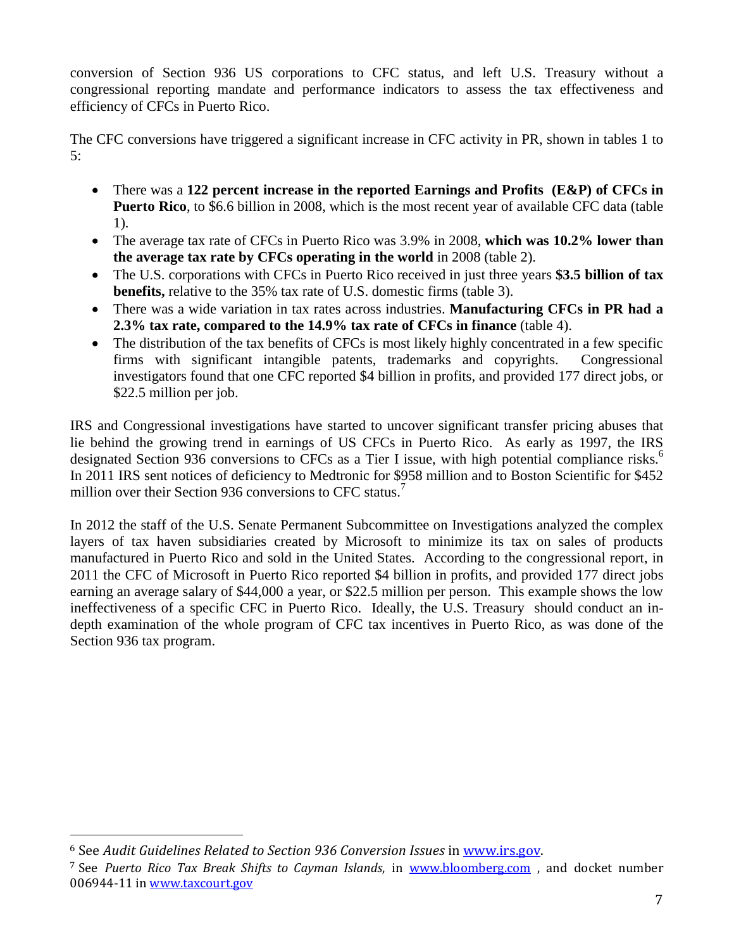conversion of Section 936 US corporations to CFC status, and left U.S. Treasury without a congressional reporting mandate and performance indicators to assess the tax effectiveness and efficiency of CFCs in Puerto Rico.

The CFC conversions have triggered a significant increase in CFC activity in PR, shown in tables 1 to  $5:$ 

- There was a **122 percent increase in the reported Earnings and Profits (E&P) of CFCs in Puerto Rico**, to \$6.6 billion in 2008, which is the most recent year of available CFC data (table 1).
- The average tax rate of CFCs in Puerto Rico was 3.9% in 2008, **which was 10.2% lower than the average tax rate by CFCs operating in the world** in 2008 (table 2).
- The U.S. corporations with CFCs in Puerto Rico received in just three years **\$3.5 billion of tax benefits,** relative to the 35% tax rate of U.S. domestic firms (table 3).
- There was a wide variation in tax rates across industries. **Manufacturing CFCs in PR had a 2.3% tax rate, compared to the 14.9% tax rate of CFCs in finance** (table 4).
- The distribution of the tax benefits of CFCs is most likely highly concentrated in a few specific firms with significant intangible patents, trademarks and copyrights. Congressional investigators found that one CFC reported \$4 billion in profits, and provided 177 direct jobs, or \$22.5 million per job.

IRS and Congressional investigations have started to uncover significant transfer pricing abuses that lie behind the growing trend in earnings of US CFCs in Puerto Rico. As early as 1997, the IRS designated Section 936 conversions to CFCs as a Tier I issue, with high potential compliance risks.<sup>6</sup> In 2011 IRS sent notices of deficiency to Medtronic for \$958 million and to Boston Scientific for \$452 million over their Section 936 conversions to CFC status.<sup>7</sup>

In 2012 the staff of the U.S. Senate Permanent Subcommittee on Investigations analyzed the complex layers of tax haven subsidiaries created by Microsoft to minimize its tax on sales of products manufactured in Puerto Rico and sold in the United States. According to the congressional report, in 2011 the CFC of Microsoft in Puerto Rico reported \$4 billion in profits, and provided 177 direct jobs earning an average salary of \$44,000 a year, or \$22.5 million per person. This example shows the low ineffectiveness of a specific CFC in Puerto Rico. Ideally, the U.S. Treasury should conduct an indepth examination of the whole program of CFC tax incentives in Puerto Rico, as was done of the Section 936 tax program.

l

<sup>6</sup> See *Audit Guidelines Related to Section 936 Conversion Issues* i[n www.irs.gov.](http://www.irg.gov/)

<sup>7</sup> See *Puerto Rico Tax Break Shifts to Cayman Islands*, in [www.bloomberg.com](http://www.bloomberg.com/) , and docket number 006944-11 in [www.taxcourt.gov](http://www.taxcourt.gov/)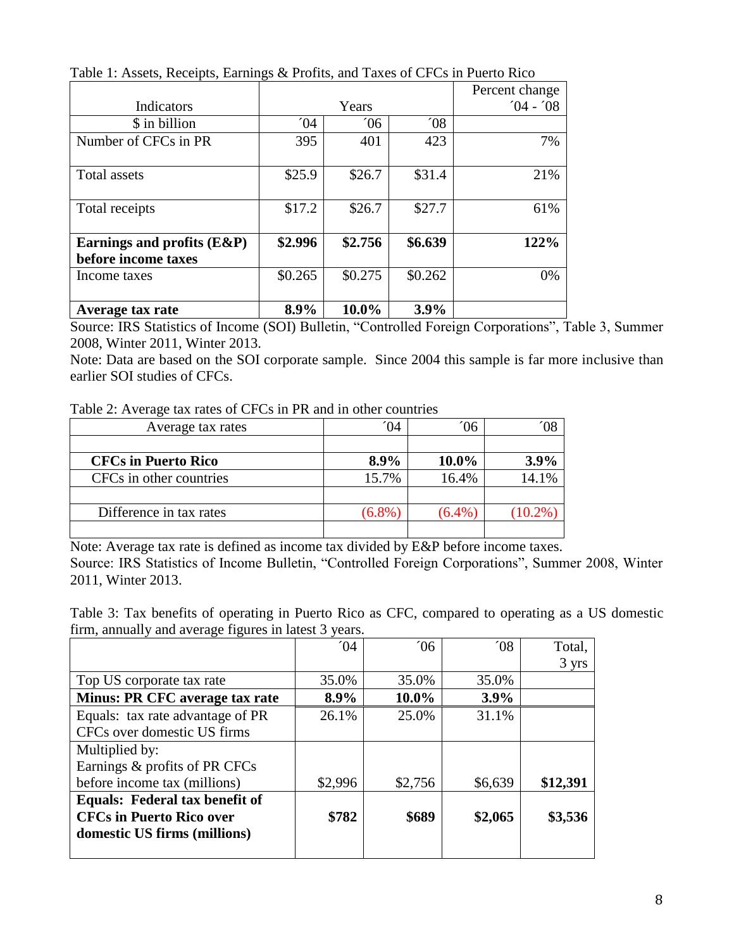|                               |         |         |               | Percent change |
|-------------------------------|---------|---------|---------------|----------------|
| Indicators                    | Years   |         |               | $04 - 08$      |
| \$ in billion                 | 04      | 06      | $^{\prime}08$ |                |
| Number of CFCs in PR          | 395     | 401     | 423           | 7%             |
|                               |         |         |               |                |
| Total assets                  | \$25.9  | \$26.7  | \$31.4        | 21%            |
|                               |         |         |               |                |
| Total receipts                | \$17.2  | \$26.7  | \$27.7        | 61%            |
|                               |         |         |               |                |
| Earnings and profits $(E\&P)$ | \$2.996 | \$2.756 | \$6.639       | 122%           |
| before income taxes           |         |         |               |                |
| Income taxes                  | \$0.265 | \$0.275 | \$0.262       | 0%             |
|                               |         |         |               |                |
| Average tax rate              | 8.9%    | 10.0%   | 3.9%          |                |

Table 1: Assets, Receipts, Earnings & Profits, and Taxes of CFCs in Puerto Rico

Source: IRS Statistics of Income (SOI) Bulletin, "Controlled Foreign Corporations", Table 3, Summer 2008, Winter 2011, Winter 2013.

Note: Data are based on the SOI corporate sample. Since 2004 this sample is far more inclusive than earlier SOI studies of CFCs.

| Table 2: Average tax rates of CFCs in PR and in other countries |  |  |
|-----------------------------------------------------------------|--|--|
|                                                                 |  |  |

| Average tax rates          | 04        | Ό6        |       |
|----------------------------|-----------|-----------|-------|
|                            |           |           |       |
| <b>CFCs in Puerto Rico</b> | 8.9%      | $10.0\%$  | 3.9%  |
| CFCs in other countries    | 15.7%     | 16.4%     | 14.1% |
|                            |           |           |       |
| Difference in tax rates    | $(6.8\%)$ | $(6.4\%)$ |       |
|                            |           |           |       |

Note: Average tax rate is defined as income tax divided by E&P before income taxes. Source: IRS Statistics of Income Bulletin, "Controlled Foreign Corporations", Summer 2008, Winter 2011, Winter 2013.

Table 3: Tax benefits of operating in Puerto Rico as CFC, compared to operating as a US domestic firm, annually and average figures in latest 3 years.

|                                  | $^{\prime}$ 04 | $^{\prime}06$ | $^{\prime}08$ | Total,   |
|----------------------------------|----------------|---------------|---------------|----------|
|                                  |                |               |               | 3 yrs    |
| Top US corporate tax rate        | 35.0%          | 35.0%         | 35.0%         |          |
| Minus: PR CFC average tax rate   | 8.9%           | 10.0%         | 3.9%          |          |
| Equals: tax rate advantage of PR | 26.1%          | 25.0%         | 31.1%         |          |
| CFCs over domestic US firms      |                |               |               |          |
| Multiplied by:                   |                |               |               |          |
| Earnings & profits of PR CFCs    |                |               |               |          |
| before income tax (millions)     | \$2,996        | \$2,756       | \$6,639       | \$12,391 |
| Equals: Federal tax benefit of   |                |               |               |          |
| <b>CFCs in Puerto Rico over</b>  | \$782          | \$689         | \$2,065       | \$3,536  |
| domestic US firms (millions)     |                |               |               |          |
|                                  |                |               |               |          |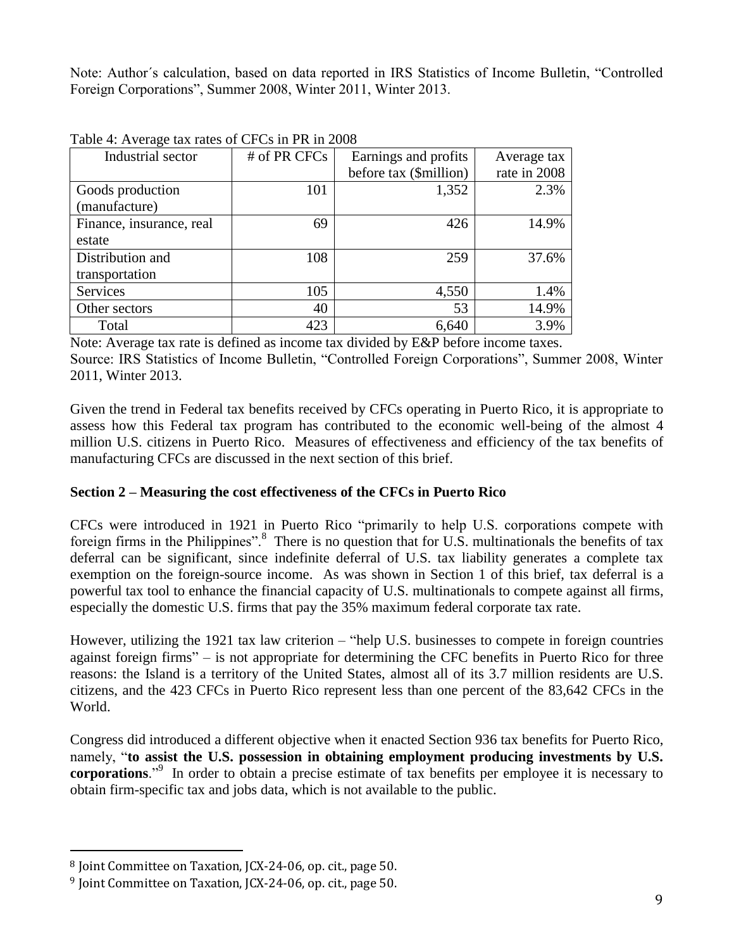Note: Author´s calculation, based on data reported in IRS Statistics of Income Bulletin, "Controlled Foreign Corporations", Summer 2008, Winter 2011, Winter 2013.

| Industrial sector        | # of PR CFCs | Earnings and profits   | Average tax  |
|--------------------------|--------------|------------------------|--------------|
|                          |              | before tax (\$million) | rate in 2008 |
| Goods production         | 101          | 1,352                  | 2.3%         |
| (manufacture)            |              |                        |              |
| Finance, insurance, real | 69           | 426                    | 14.9%        |
| estate                   |              |                        |              |
| Distribution and         | 108          | 259                    | 37.6%        |
| transportation           |              |                        |              |
| Services                 | 105          | 4,550                  | 1.4%         |
| Other sectors            | 40           | 53                     | 14.9%        |
| Total                    | 423          | 6,640                  | 3.9%         |

Table 4: Average tax rates of CFCs in PR in 2008

Note: Average tax rate is defined as income tax divided by E&P before income taxes. Source: IRS Statistics of Income Bulletin, "Controlled Foreign Corporations", Summer 2008, Winter 2011, Winter 2013.

Given the trend in Federal tax benefits received by CFCs operating in Puerto Rico, it is appropriate to assess how this Federal tax program has contributed to the economic well-being of the almost 4 million U.S. citizens in Puerto Rico. Measures of effectiveness and efficiency of the tax benefits of manufacturing CFCs are discussed in the next section of this brief.

### **Section 2 – Measuring the cost effectiveness of the CFCs in Puerto Rico**

CFCs were introduced in 1921 in Puerto Rico "primarily to help U.S. corporations compete with foreign firms in the Philippines".<sup>8</sup> There is no question that for U.S. multinationals the benefits of tax deferral can be significant, since indefinite deferral of U.S. tax liability generates a complete tax exemption on the foreign-source income. As was shown in Section 1 of this brief, tax deferral is a powerful tax tool to enhance the financial capacity of U.S. multinationals to compete against all firms, especially the domestic U.S. firms that pay the 35% maximum federal corporate tax rate.

However, utilizing the 1921 tax law criterion – "help U.S. businesses to compete in foreign countries against foreign firms" – is not appropriate for determining the CFC benefits in Puerto Rico for three reasons: the Island is a territory of the United States, almost all of its 3.7 million residents are U.S. citizens, and the 423 CFCs in Puerto Rico represent less than one percent of the 83,642 CFCs in the World.

Congress did introduced a different objective when it enacted Section 936 tax benefits for Puerto Rico, namely, "**to assist the U.S. possession in obtaining employment producing investments by U.S. corporations**."<sup>9</sup> In order to obtain a precise estimate of tax benefits per employee it is necessary to obtain firm-specific tax and jobs data, which is not available to the public.

 $\overline{a}$ 

<sup>8</sup> Joint Committee on Taxation, JCX-24-06, op. cit., page 50.

<sup>9</sup> Joint Committee on Taxation, JCX-24-06, op. cit., page 50.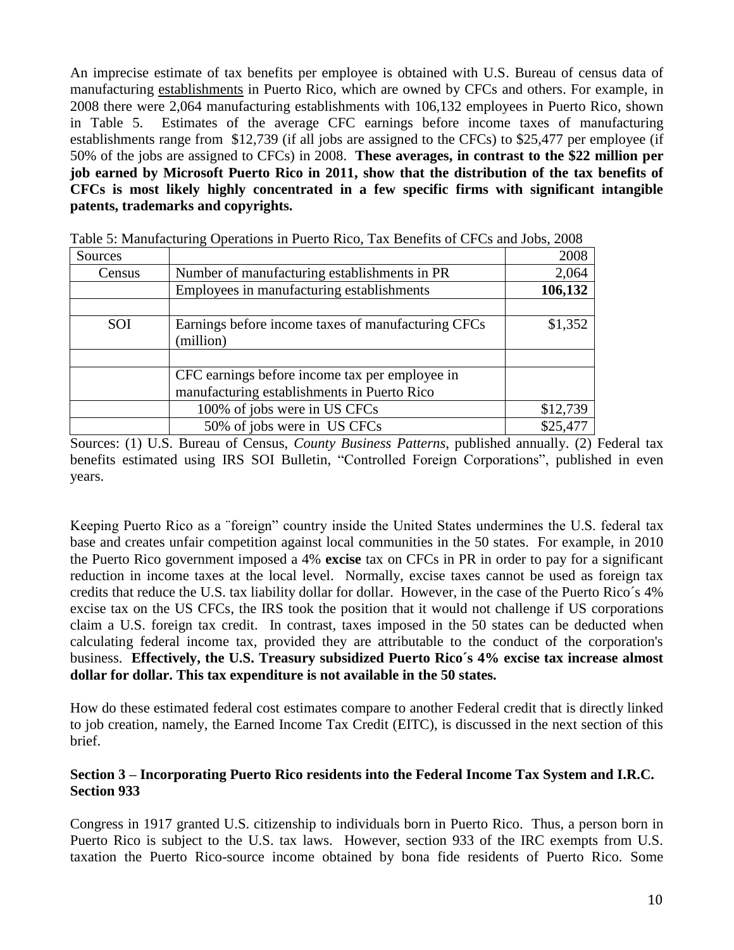An imprecise estimate of tax benefits per employee is obtained with U.S. Bureau of census data of manufacturing establishments in Puerto Rico, which are owned by CFCs and others. For example, in 2008 there were 2,064 manufacturing establishments with 106,132 employees in Puerto Rico, shown in Table 5. Estimates of the average CFC earnings before income taxes of manufacturing establishments range from \$12,739 (if all jobs are assigned to the CFCs) to \$25,477 per employee (if 50% of the jobs are assigned to CFCs) in 2008. **These averages, in contrast to the \$22 million per job earned by Microsoft Puerto Rico in 2011, show that the distribution of the tax benefits of CFCs is most likely highly concentrated in a few specific firms with significant intangible patents, trademarks and copyrights.**

| Sources |                                                                 | 2008     |
|---------|-----------------------------------------------------------------|----------|
| Census  | Number of manufacturing establishments in PR                    | 2,064    |
|         | Employees in manufacturing establishments                       | 106,132  |
|         |                                                                 |          |
| SOI     | Earnings before income taxes of manufacturing CFCs<br>(million) | \$1,352  |
|         |                                                                 |          |
|         | CFC earnings before income tax per employee in                  |          |
|         | manufacturing establishments in Puerto Rico                     |          |
|         | 100% of jobs were in US CFCs                                    | \$12,739 |
|         | 50% of jobs were in US CFCs                                     | \$25,477 |

Table 5: Manufacturing Operations in Puerto Rico, Tax Benefits of CFCs and Jobs, 2008

Sources: (1) U.S. Bureau of Census, *County Business Patterns*, published annually. (2) Federal tax benefits estimated using IRS SOI Bulletin, "Controlled Foreign Corporations", published in even years.

Keeping Puerto Rico as a ¨foreign" country inside the United States undermines the U.S. federal tax base and creates unfair competition against local communities in the 50 states. For example, in 2010 the Puerto Rico government imposed a 4% **excise** tax on CFCs in PR in order to pay for a significant reduction in income taxes at the local level. Normally, excise taxes cannot be used as foreign tax credits that reduce the U.S. tax liability dollar for dollar. However, in the case of the Puerto Rico´s 4% excise tax on the US CFCs, the IRS took the position that it would not challenge if US corporations claim a U.S. foreign tax credit. In contrast, taxes imposed in the 50 states can be deducted when calculating federal income tax, provided they are attributable to the conduct of the corporation's business. **Effectively, the U.S. Treasury subsidized Puerto Rico´s 4% excise tax increase almost dollar for dollar. This tax expenditure is not available in the 50 states.** 

How do these estimated federal cost estimates compare to another Federal credit that is directly linked to job creation, namely, the Earned Income Tax Credit (EITC), is discussed in the next section of this brief.

### **Section 3 – Incorporating Puerto Rico residents into the Federal Income Tax System and I.R.C. Section 933**

Congress in 1917 granted U.S. citizenship to individuals born in Puerto Rico. Thus, a person born in Puerto Rico is subject to the U.S. tax laws. However, section 933 of the IRC exempts from U.S. taxation the Puerto Rico-source income obtained by bona fide residents of Puerto Rico. Some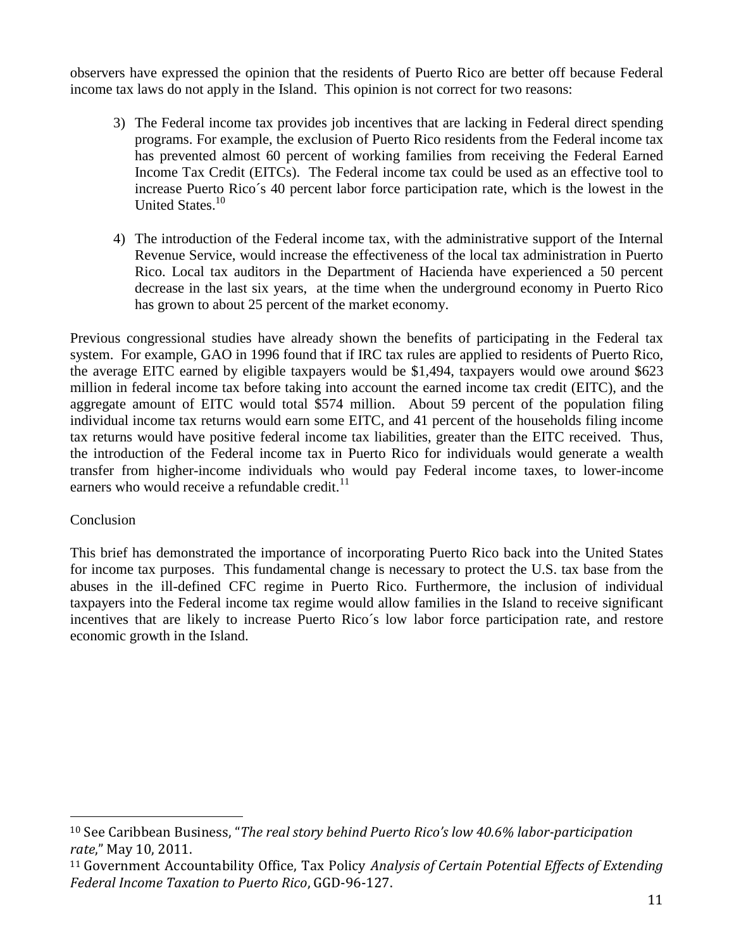observers have expressed the opinion that the residents of Puerto Rico are better off because Federal income tax laws do not apply in the Island. This opinion is not correct for two reasons:

- 3) The Federal income tax provides job incentives that are lacking in Federal direct spending programs. For example, the exclusion of Puerto Rico residents from the Federal income tax has prevented almost 60 percent of working families from receiving the Federal Earned Income Tax Credit (EITCs). The Federal income tax could be used as an effective tool to increase Puerto Rico´s 40 percent labor force participation rate, which is the lowest in the United States.<sup>10</sup>
- 4) The introduction of the Federal income tax, with the administrative support of the Internal Revenue Service, would increase the effectiveness of the local tax administration in Puerto Rico. Local tax auditors in the Department of Hacienda have experienced a 50 percent decrease in the last six years, at the time when the underground economy in Puerto Rico has grown to about 25 percent of the market economy.

Previous congressional studies have already shown the benefits of participating in the Federal tax system. For example, GAO in 1996 found that if IRC tax rules are applied to residents of Puerto Rico, the average EITC earned by eligible taxpayers would be \$1,494, taxpayers would owe around \$623 million in federal income tax before taking into account the earned income tax credit (EITC), and the aggregate amount of EITC would total \$574 million. About 59 percent of the population filing individual income tax returns would earn some EITC, and 41 percent of the households filing income tax returns would have positive federal income tax liabilities, greater than the EITC received. Thus, the introduction of the Federal income tax in Puerto Rico for individuals would generate a wealth transfer from higher-income individuals who would pay Federal income taxes, to lower-income earners who would receive a refundable credit. $^{11}$ 

### **Conclusion**

 $\overline{a}$ 

This brief has demonstrated the importance of incorporating Puerto Rico back into the United States for income tax purposes. This fundamental change is necessary to protect the U.S. tax base from the abuses in the ill-defined CFC regime in Puerto Rico. Furthermore, the inclusion of individual taxpayers into the Federal income tax regime would allow families in the Island to receive significant incentives that are likely to increase Puerto Rico´s low labor force participation rate, and restore economic growth in the Island.

<sup>10</sup> See Caribbean Business, "*The real story behind Puerto Rico's low 40.6% labor-participation rate*," May 10, 2011.

<sup>11</sup> Government Accountability Office, Tax Policy *Analysis of Certain Potential Effects of Extending Federal Income Taxation to Puerto Rico*, GGD-96-127.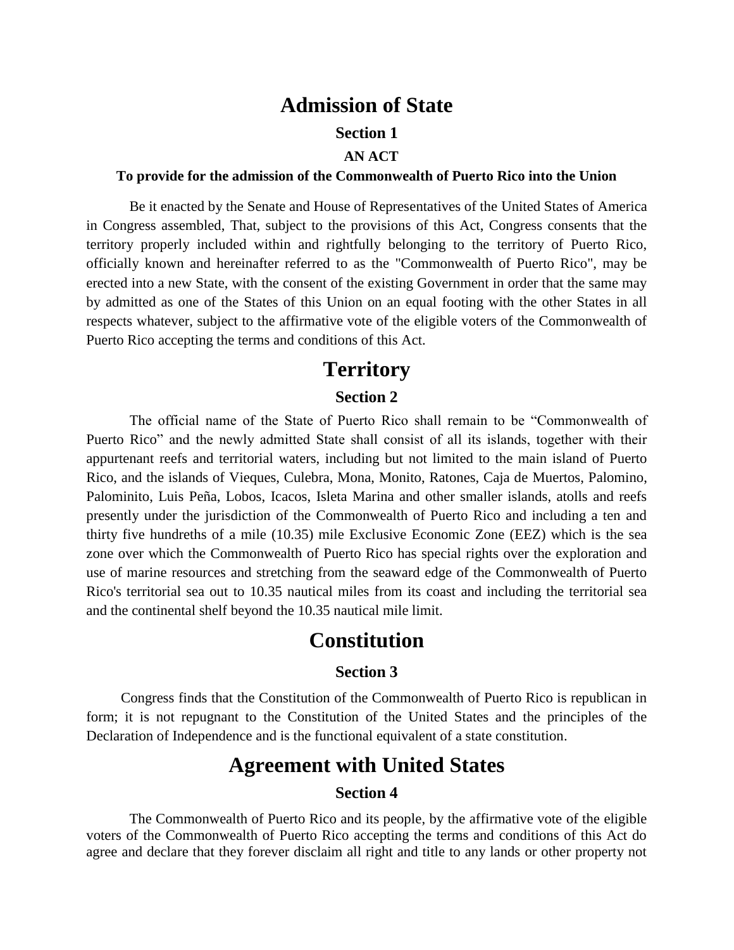### **Admission of State**

### **Section 1**

#### **AN ACT**

#### **To provide for the admission of the Commonwealth of Puerto Rico into the Union**

Be it enacted by the Senate and House of Representatives of the United States of America in Congress assembled, That, subject to the provisions of this Act, Congress consents that the territory properly included within and rightfully belonging to the territory of Puerto Rico, officially known and hereinafter referred to as the "Commonwealth of Puerto Rico", may be erected into a new State, with the consent of the existing Government in order that the same may by admitted as one of the States of this Union on an equal footing with the other States in all respects whatever, subject to the affirmative vote of the eligible voters of the Commonwealth of Puerto Rico accepting the terms and conditions of this Act.

### **Territory Section 2**

The official name of the State of Puerto Rico shall remain to be "Commonwealth of Puerto Rico" and the newly admitted State shall consist of all its islands, together with their appurtenant reefs and territorial waters, including but not limited to the main island of Puerto Rico, and the islands of Vieques, Culebra, Mona, Monito, Ratones, Caja de Muertos, Palomino, Palominito, Luis Peña, Lobos, Icacos, Isleta Marina and other smaller islands, atolls and reefs presently under the jurisdiction of the Commonwealth of Puerto Rico and including a ten and thirty five hundreths of a mile (10.35) mile Exclusive Economic Zone (EEZ) which is the sea zone over which the Commonwealth of Puerto Rico has special rights over the exploration and use of marine resources and stretching from the seaward edge of the Commonwealth of Puerto Rico's territorial sea out to 10.35 nautical miles from its coast and including the territorial sea and the continental shelf beyond the 10.35 nautical mile limit.

### **Constitution**

### **Section 3**

Congress finds that the Constitution of the Commonwealth of Puerto Rico is republican in form; it is not repugnant to the Constitution of the United States and the principles of the Declaration of Independence and is the functional equivalent of a state constitution.

# **Agreement with United States**

### **Section 4**

The Commonwealth of Puerto Rico and its people, by the affirmative vote of the eligible voters of the Commonwealth of Puerto Rico accepting the terms and conditions of this Act do agree and declare that they forever disclaim all right and title to any lands or other property not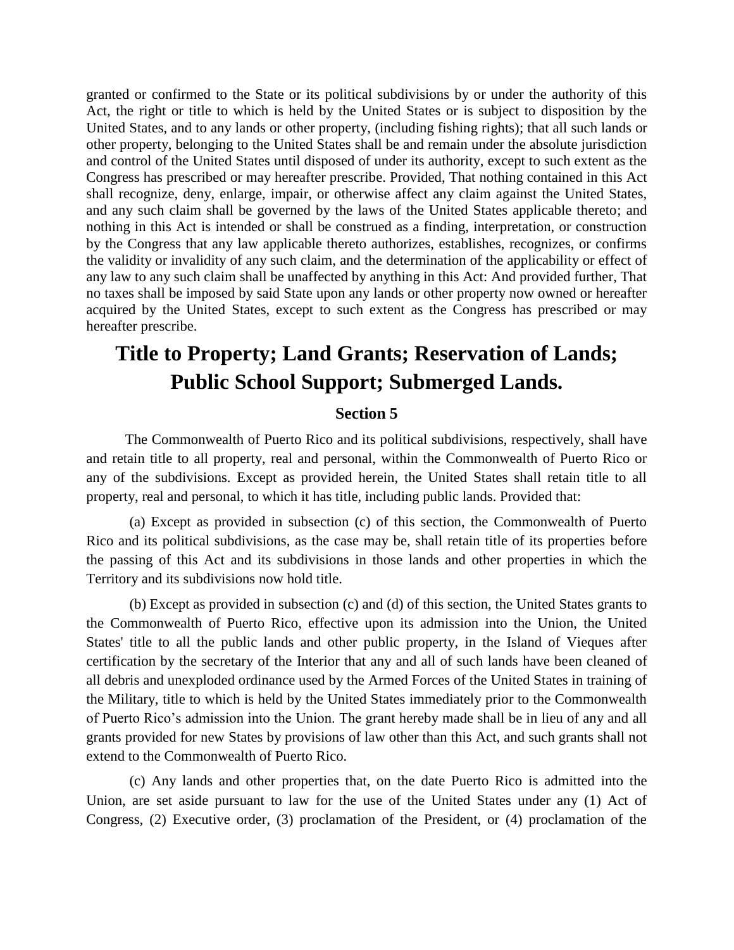granted or confirmed to the State or its political subdivisions by or under the authority of this Act, the right or title to which is held by the United States or is subject to disposition by the United States, and to any lands or other property, (including fishing rights); that all such lands or other property, belonging to the United States shall be and remain under the absolute jurisdiction and control of the United States until disposed of under its authority, except to such extent as the Congress has prescribed or may hereafter prescribe. Provided, That nothing contained in this Act shall recognize, deny, enlarge, impair, or otherwise affect any claim against the United States, and any such claim shall be governed by the laws of the United States applicable thereto; and nothing in this Act is intended or shall be construed as a finding, interpretation, or construction by the Congress that any law applicable thereto authorizes, establishes, recognizes, or confirms the validity or invalidity of any such claim, and the determination of the applicability or effect of any law to any such claim shall be unaffected by anything in this Act: And provided further, That no taxes shall be imposed by said State upon any lands or other property now owned or hereafter acquired by the United States, except to such extent as the Congress has prescribed or may hereafter prescribe.

# **Title to Property; Land Grants; Reservation of Lands; Public School Support; Submerged Lands.**

#### **Section 5**

The Commonwealth of Puerto Rico and its political subdivisions, respectively, shall have and retain title to all property, real and personal, within the Commonwealth of Puerto Rico or any of the subdivisions. Except as provided herein, the United States shall retain title to all property, real and personal, to which it has title, including public lands. Provided that:

(a) Except as provided in subsection (c) of this section, the Commonwealth of Puerto Rico and its political subdivisions, as the case may be, shall retain title of its properties before the passing of this Act and its subdivisions in those lands and other properties in which the Territory and its subdivisions now hold title.

(b) Except as provided in subsection (c) and (d) of this section, the United States grants to the Commonwealth of Puerto Rico, effective upon its admission into the Union, the United States' title to all the public lands and other public property, in the Island of Vieques after certification by the secretary of the Interior that any and all of such lands have been cleaned of all debris and unexploded ordinance used by the Armed Forces of the United States in training of the Military, title to which is held by the United States immediately prior to the Commonwealth of Puerto Rico's admission into the Union. The grant hereby made shall be in lieu of any and all grants provided for new States by provisions of law other than this Act, and such grants shall not extend to the Commonwealth of Puerto Rico.

(c) Any lands and other properties that, on the date Puerto Rico is admitted into the Union, are set aside pursuant to law for the use of the United States under any (1) Act of Congress, (2) Executive order, (3) proclamation of the President, or (4) proclamation of the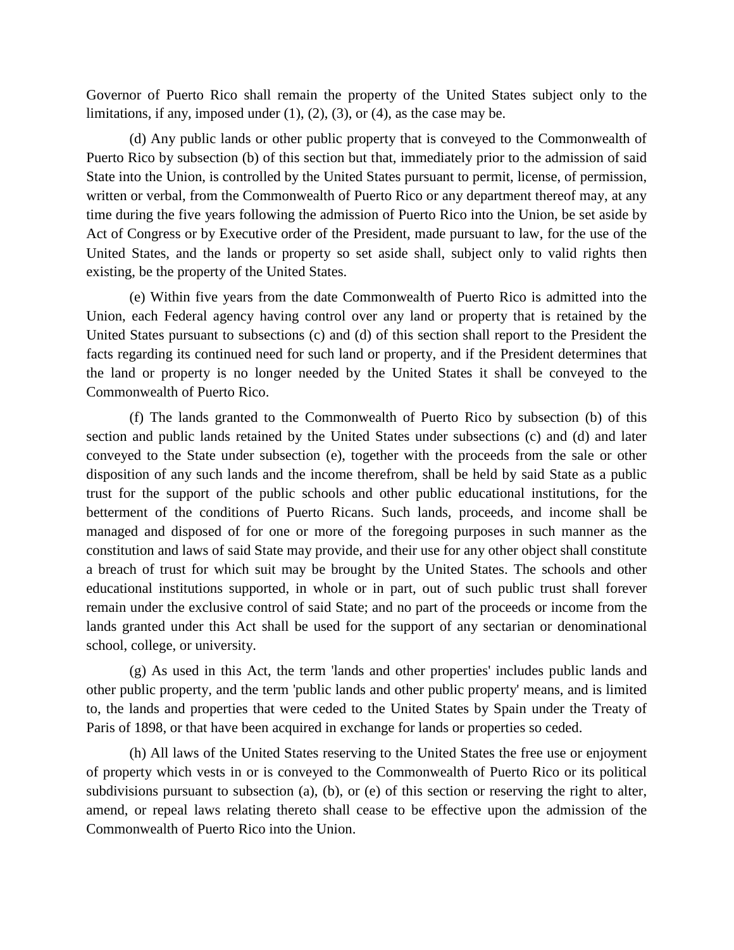Governor of Puerto Rico shall remain the property of the United States subject only to the limitations, if any, imposed under  $(1)$ ,  $(2)$ ,  $(3)$ , or  $(4)$ , as the case may be.

(d) Any public lands or other public property that is conveyed to the Commonwealth of Puerto Rico by subsection (b) of this section but that, immediately prior to the admission of said State into the Union, is controlled by the United States pursuant to permit, license, of permission, written or verbal, from the Commonwealth of Puerto Rico or any department thereof may, at any time during the five years following the admission of Puerto Rico into the Union, be set aside by Act of Congress or by Executive order of the President, made pursuant to law, for the use of the United States, and the lands or property so set aside shall, subject only to valid rights then existing, be the property of the United States.

(e) Within five years from the date Commonwealth of Puerto Rico is admitted into the Union, each Federal agency having control over any land or property that is retained by the United States pursuant to subsections (c) and (d) of this section shall report to the President the facts regarding its continued need for such land or property, and if the President determines that the land or property is no longer needed by the United States it shall be conveyed to the Commonwealth of Puerto Rico.

(f) The lands granted to the Commonwealth of Puerto Rico by subsection (b) of this section and public lands retained by the United States under subsections (c) and (d) and later conveyed to the State under subsection (e), together with the proceeds from the sale or other disposition of any such lands and the income therefrom, shall be held by said State as a public trust for the support of the public schools and other public educational institutions, for the betterment of the conditions of Puerto Ricans. Such lands, proceeds, and income shall be managed and disposed of for one or more of the foregoing purposes in such manner as the constitution and laws of said State may provide, and their use for any other object shall constitute a breach of trust for which suit may be brought by the United States. The schools and other educational institutions supported, in whole or in part, out of such public trust shall forever remain under the exclusive control of said State; and no part of the proceeds or income from the lands granted under this Act shall be used for the support of any sectarian or denominational school, college, or university.

(g) As used in this Act, the term 'lands and other properties' includes public lands and other public property, and the term 'public lands and other public property' means, and is limited to, the lands and properties that were ceded to the United States by Spain under the Treaty of Paris of 1898, or that have been acquired in exchange for lands or properties so ceded.

(h) All laws of the United States reserving to the United States the free use or enjoyment of property which vests in or is conveyed to the Commonwealth of Puerto Rico or its political subdivisions pursuant to subsection (a), (b), or (e) of this section or reserving the right to alter, amend, or repeal laws relating thereto shall cease to be effective upon the admission of the Commonwealth of Puerto Rico into the Union.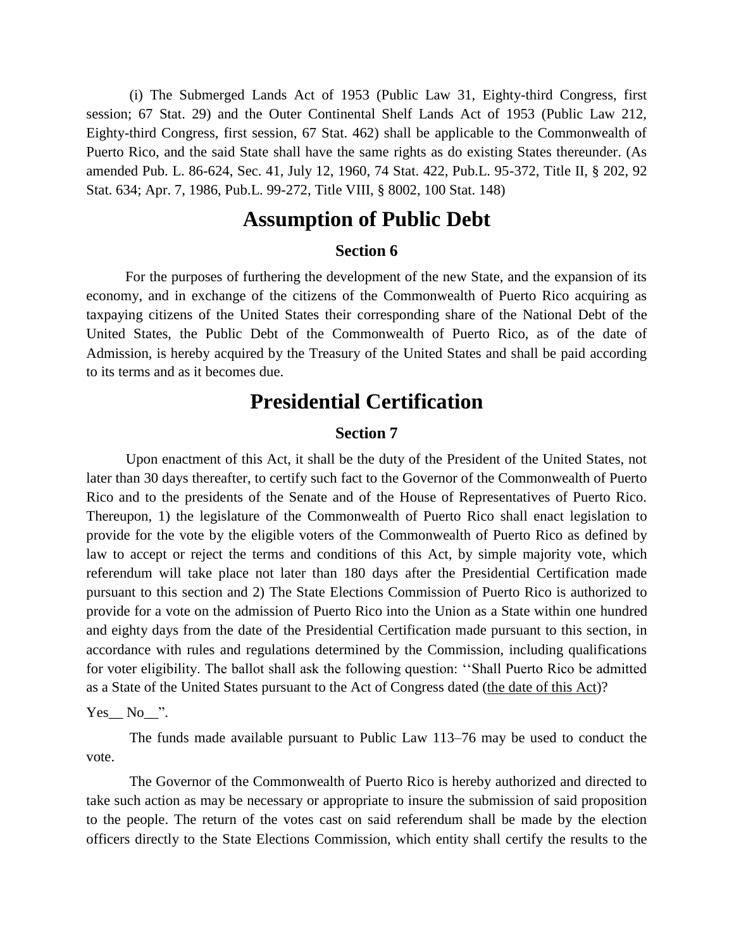(i) The Submerged Lands Act of 1953 (Public Law 31, Eighty-third Congress, first session; 67 Stat. 29) and the Outer Continental Shelf Lands Act of 1953 (Public Law 212, Eighty-third Congress, first session, 67 Stat. 462) shall be applicable to the Commonwealth of Puerto Rico, and the said State shall have the same rights as do existing States thereunder. (As amended Pub. L. 86-624, Sec. 41, July 12, 1960, 74 Stat. 422, Pub.L. 95-372, Title II, § 202, 92 Stat. 634; Apr. 7, 1986, Pub.L. 99-272, Title VIII, § 8002, 100 Stat. 148)

### **Assumption of Public Debt**

#### **Section 6**

For the purposes of furthering the development of the new State, and the expansion of its economy, and in exchange of the citizens of the Commonwealth of Puerto Rico acquiring as taxpaying citizens of the United States their corresponding share of the National Debt of the United States, the Public Debt of the Commonwealth of Puerto Rico, as of the date of Admission, is hereby acquired by the Treasury of the United States and shall be paid according to its terms and as it becomes due.

### **Presidential Certification**

#### **Section 7**

Upon enactment of this Act, it shall be the duty of the President of the United States, not later than 30 days thereafter, to certify such fact to the Governor of the Commonwealth of Puerto Rico and to the presidents of the Senate and of the House of Representatives of Puerto Rico. Thereupon, 1) the legislature of the Commonwealth of Puerto Rico shall enact legislation to provide for the vote by the eligible voters of the Commonwealth of Puerto Rico as defined by law to accept or reject the terms and conditions of this Act, by simple majority vote, which referendum will take place not later than 180 days after the Presidential Certification made pursuant to this section and 2) The State Elections Commission of Puerto Rico is authorized to provide for a vote on the admission of Puerto Rico into the Union as a State within one hundred and eighty days from the date of the Presidential Certification made pursuant to this section, in accordance with rules and regulations determined by the Commission, including qualifications for voter eligibility. The ballot shall ask the following question: ''Shall Puerto Rico be admitted as a State of the United States pursuant to the Act of Congress dated (the date of this Act)?

#### $Yes$  No $"$ .

The funds made available pursuant to Public Law 113–76 may be used to conduct the vote.

The Governor of the Commonwealth of Puerto Rico is hereby authorized and directed to take such action as may be necessary or appropriate to insure the submission of said proposition to the people. The return of the votes cast on said referendum shall be made by the election officers directly to the State Elections Commission, which entity shall certify the results to the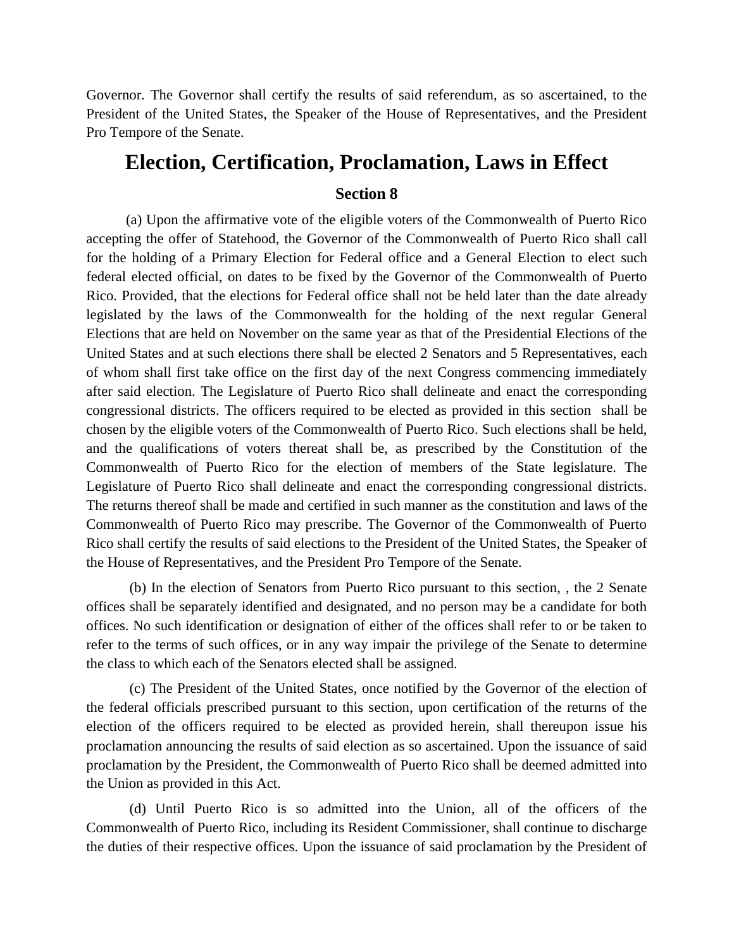Governor. The Governor shall certify the results of said referendum, as so ascertained, to the President of the United States, the Speaker of the House of Representatives, and the President Pro Tempore of the Senate.

### **Election, Certification, Proclamation, Laws in Effect**

### **Section 8**

(a) Upon the affirmative vote of the eligible voters of the Commonwealth of Puerto Rico accepting the offer of Statehood, the Governor of the Commonwealth of Puerto Rico shall call for the holding of a Primary Election for Federal office and a General Election to elect such federal elected official, on dates to be fixed by the Governor of the Commonwealth of Puerto Rico. Provided, that the elections for Federal office shall not be held later than the date already legislated by the laws of the Commonwealth for the holding of the next regular General Elections that are held on November on the same year as that of the Presidential Elections of the United States and at such elections there shall be elected 2 Senators and 5 Representatives, each of whom shall first take office on the first day of the next Congress commencing immediately after said election. The Legislature of Puerto Rico shall delineate and enact the corresponding congressional districts. The officers required to be elected as provided in this [section](http://www.lbblawyers.com/state7.htm) shall be chosen by the eligible voters of the Commonwealth of Puerto Rico. Such elections shall be held, and the qualifications of voters thereat shall be, as prescribed by the Constitution of the Commonwealth of Puerto Rico for the election of members of the State legislature. The Legislature of Puerto Rico shall delineate and enact the corresponding congressional districts. The returns thereof shall be made and certified in such manner as the constitution and laws of the Commonwealth of Puerto Rico may prescribe. The Governor of the Commonwealth of Puerto Rico shall certify the results of said elections to the President of the United States, the Speaker of the House of Representatives, and the President Pro Tempore of the Senate.

(b) In the election of Senators from Puerto Rico pursuant to this section, , the 2 Senate offices shall be separately identified and designated, and no person may be a candidate for both offices. No such identification or designation of either of the offices shall refer to or be taken to refer to the terms of such offices, or in any way impair the privilege of the Senate to determine the class to which each of the Senators elected shall be assigned.

(c) The President of the United States, once notified by the Governor of the election of the federal officials prescribed pursuant to this section, upon certification of the returns of the election of the officers required to be elected as provided herein, shall thereupon issue his proclamation announcing the results of said election as so ascertained. Upon the issuance of said proclamation by the President, the Commonwealth of Puerto Rico shall be deemed admitted into the Union as provided in this Act.

(d) Until Puerto Rico is so admitted into the Union, all of the officers of the Commonwealth of Puerto Rico, including its Resident Commissioner, shall continue to discharge the duties of their respective offices. Upon the issuance of said proclamation by the President of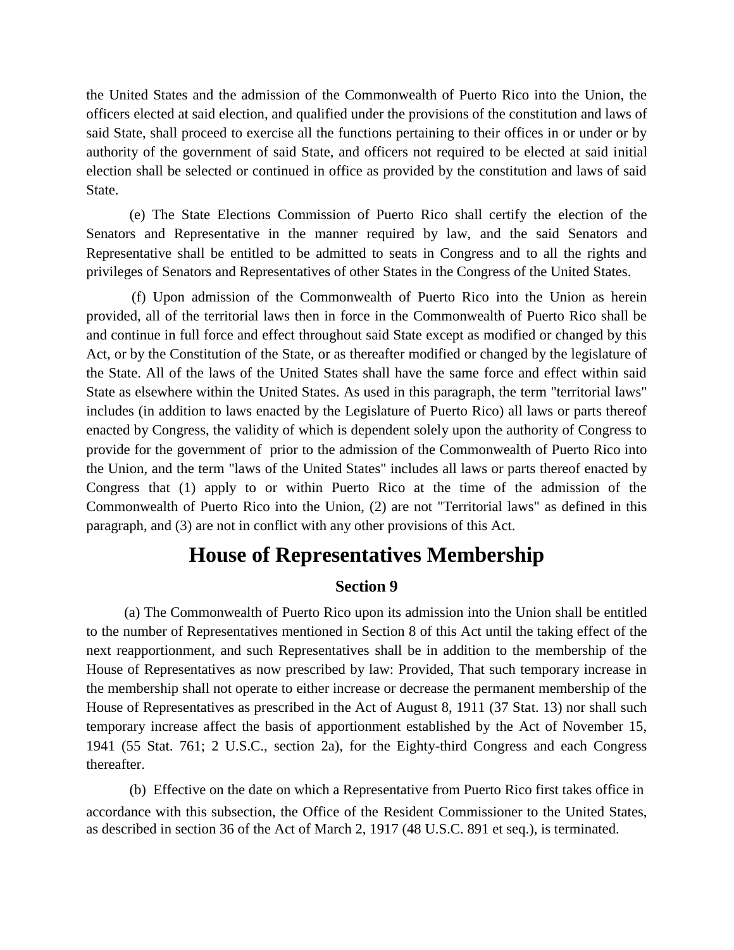the United States and the admission of the Commonwealth of Puerto Rico into the Union, the officers elected at said election, and qualified under the provisions of the constitution and laws of said State, shall proceed to exercise all the functions pertaining to their offices in or under or by authority of the government of said State, and officers not required to be elected at said initial election shall be selected or continued in office as provided by the constitution and laws of said State.

(e) The State Elections Commission of Puerto Rico shall certify the election of the Senators and Representative in the manner required by law, and the said Senators and Representative shall be entitled to be admitted to seats in Congress and to all the rights and privileges of Senators and Representatives of other States in the Congress of the United States.

(f) Upon admission of the Commonwealth of Puerto Rico into the Union as herein provided, all of the territorial laws then in force in the Commonwealth of Puerto Rico shall be and continue in full force and effect throughout said State except as modified or changed by this Act, or by the Constitution of the State, or as thereafter modified or changed by the legislature of the State. All of the laws of the United States shall have the same force and effect within said State as elsewhere within the United States. As used in this paragraph, the term "territorial laws" includes (in addition to laws enacted by the Legislature of Puerto Rico) all laws or parts thereof enacted by Congress, the validity of which is dependent solely upon the authority of Congress to provide for the government of prior to the admission of the Commonwealth of Puerto Rico into the Union, and the term "laws of the United States" includes all laws or parts thereof enacted by Congress that (1) apply to or within Puerto Rico at the time of the admission of the Commonwealth of Puerto Rico into the Union, (2) are not "Territorial laws" as defined in this paragraph, and (3) are not in conflict with any other provisions of this Act.

### **House of Representatives Membership**

### **Section 9**

(a) The Commonwealth of Puerto Rico upon its admission into the Union shall be entitled to the number of Representatives mentioned in Section 8 of this Act until the taking effect of the next reapportionment, and such Representatives shall be in addition to the membership of the House of Representatives as now prescribed by law: Provided, That such temporary increase in the membership shall not operate to either increase or decrease the permanent membership of the House of Representatives as prescribed in the Act of August 8, 1911 (37 Stat. 13) nor shall such temporary increase affect the basis of apportionment established by the Act of November 15, 1941 (55 Stat. 761; 2 U.S.C., section 2a), for the Eighty-third Congress and each Congress thereafter.

(b) Effective on the date on which a Representative from Puerto Rico first takes office in accordance with this subsection, the Office of the Resident Commissioner to the United States, as described in section 36 of the Act of March 2, 1917 (48 U.S.C. 891 et seq.), is terminated.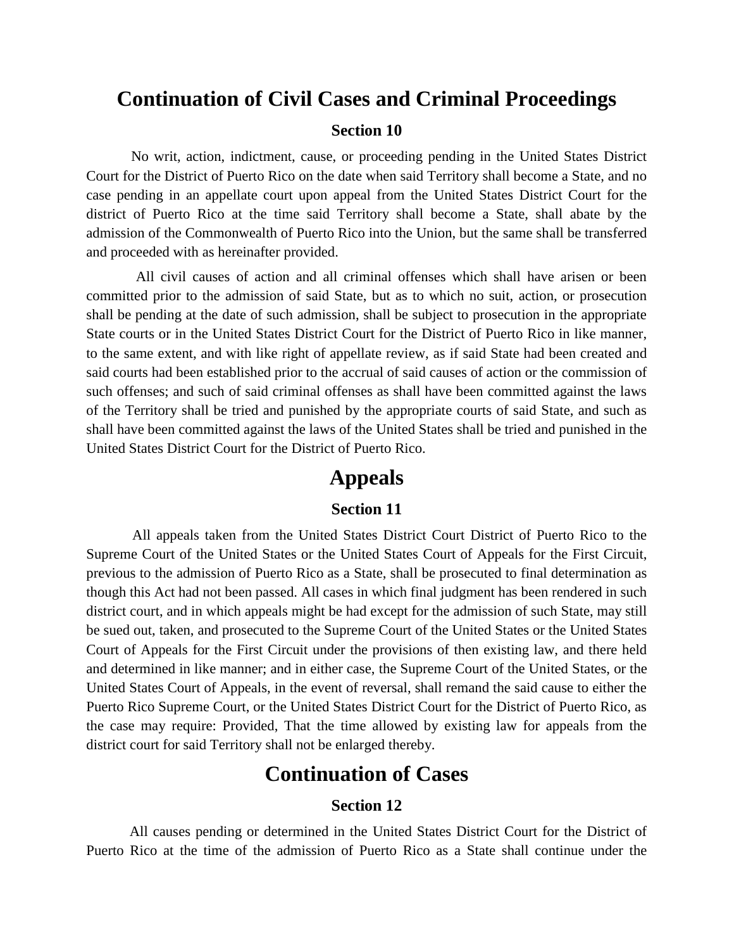## **Continuation of Civil Cases and Criminal Proceedings**

#### **Section 10**

No writ, action, indictment, cause, or proceeding pending in the United States District Court for the District of Puerto Rico on the date when said Territory shall become a State, and no case pending in an appellate court upon appeal from the United States District Court for the district of Puerto Rico at the time said Territory shall become a State, shall abate by the admission of the Commonwealth of Puerto Rico into the Union, but the same shall be transferred and proceeded with as hereinafter provided.

All civil causes of action and all criminal offenses which shall have arisen or been committed prior to the admission of said State, but as to which no suit, action, or prosecution shall be pending at the date of such admission, shall be subject to prosecution in the appropriate State courts or in the United States District Court for the District of Puerto Rico in like manner, to the same extent, and with like right of appellate review, as if said State had been created and said courts had been established prior to the accrual of said causes of action or the commission of such offenses; and such of said criminal offenses as shall have been committed against the laws of the Territory shall be tried and punished by the appropriate courts of said State, and such as shall have been committed against the laws of the United States shall be tried and punished in the United States District Court for the District of Puerto Rico.

### **Appeals**

### **Section 11**

All appeals taken from the United States District Court District of Puerto Rico to the Supreme Court of the United States or the United States Court of Appeals for the First Circuit, previous to the admission of Puerto Rico as a State, shall be prosecuted to final determination as though this Act had not been passed. All cases in which final judgment has been rendered in such district court, and in which appeals might be had except for the admission of such State, may still be sued out, taken, and prosecuted to the Supreme Court of the United States or the United States Court of Appeals for the First Circuit under the provisions of then existing law, and there held and determined in like manner; and in either case, the Supreme Court of the United States, or the United States Court of Appeals, in the event of reversal, shall remand the said cause to either the Puerto Rico Supreme Court, or the United States District Court for the District of Puerto Rico, as the case may require: Provided, That the time allowed by existing law for appeals from the district court for said Territory shall not be enlarged thereby.

## **Continuation of Cases**

#### **Section 12**

All causes pending or determined in the United States District Court for the District of Puerto Rico at the time of the admission of Puerto Rico as a State shall continue under the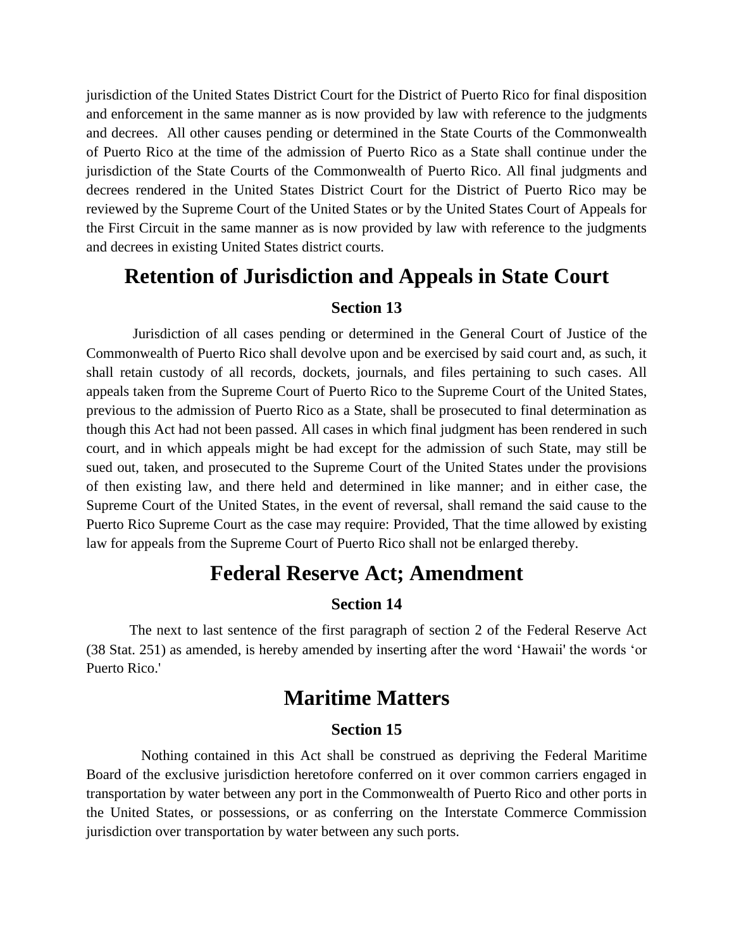jurisdiction of the United States District Court for the District of Puerto Rico for final disposition and enforcement in the same manner as is now provided by law with reference to the judgments and decrees. All other causes pending or determined in the State Courts of the Commonwealth of Puerto Rico at the time of the admission of Puerto Rico as a State shall continue under the jurisdiction of the State Courts of the Commonwealth of Puerto Rico. All final judgments and decrees rendered in the United States District Court for the District of Puerto Rico may be reviewed by the Supreme Court of the United States or by the United States Court of Appeals for the First Circuit in the same manner as is now provided by law with reference to the judgments and decrees in existing United States district courts.

# **Retention of Jurisdiction and Appeals in State Court**

#### **Section 13**

Jurisdiction of all cases pending or determined in the General Court of Justice of the Commonwealth of Puerto Rico shall devolve upon and be exercised by said court and, as such, it shall retain custody of all records, dockets, journals, and files pertaining to such cases. All appeals taken from the Supreme Court of Puerto Rico to the Supreme Court of the United States, previous to the admission of Puerto Rico as a State, shall be prosecuted to final determination as though this Act had not been passed. All cases in which final judgment has been rendered in such court, and in which appeals might be had except for the admission of such State, may still be sued out, taken, and prosecuted to the Supreme Court of the United States under the provisions of then existing law, and there held and determined in like manner; and in either case, the Supreme Court of the United States, in the event of reversal, shall remand the said cause to the Puerto Rico Supreme Court as the case may require: Provided, That the time allowed by existing law for appeals from the Supreme Court of Puerto Rico shall not be enlarged thereby.

### **Federal Reserve Act; Amendment**

#### **Section 14**

The next to last sentence of the first paragraph of section 2 of the Federal Reserve Act (38 Stat. 251) as amended, is hereby amended by inserting after the word 'Hawaii' the words 'or Puerto Rico.'

### **Maritime Matters**

#### **Section 15**

Nothing contained in this Act shall be construed as depriving the Federal Maritime Board of the exclusive jurisdiction heretofore conferred on it over common carriers engaged in transportation by water between any port in the Commonwealth of Puerto Rico and other ports in the United States, or possessions, or as conferring on the Interstate Commerce Commission jurisdiction over transportation by water between any such ports.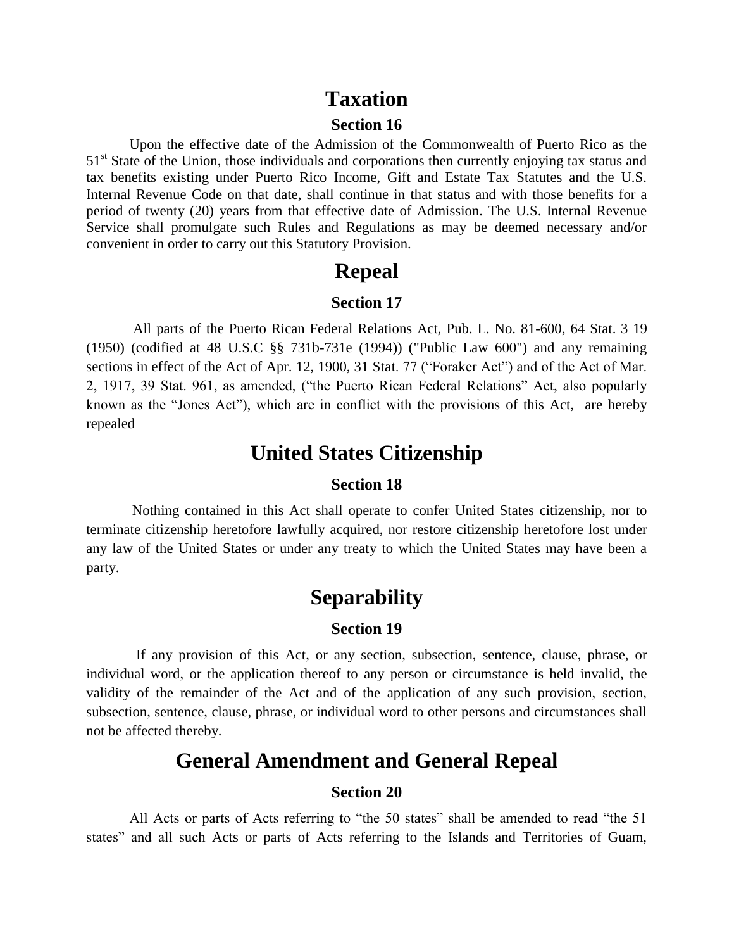### **Taxation**

#### **Section 16**

Upon the effective date of the Admission of the Commonwealth of Puerto Rico as the 51<sup>st</sup> State of the Union, those individuals and corporations then currently enjoying tax status and tax benefits existing under Puerto Rico Income, Gift and Estate Tax Statutes and the U.S. Internal Revenue Code on that date, shall continue in that status and with those benefits for a period of twenty (20) years from that effective date of Admission. The U.S. Internal Revenue Service shall promulgate such Rules and Regulations as may be deemed necessary and/or convenient in order to carry out this Statutory Provision.

### **Repeal**

### **Section 17**

All parts of the Puerto Rican Federal Relations Act, Pub. L. No. 81-600, 64 Stat. 3 19 (1950) (codified at 48 U.S.C §§ 731b-731e (1994)) ("Public Law 600") and any remaining sections in effect of the Act of Apr. 12, 1900, 31 Stat. 77 ("Foraker Act") and of the Act of Mar. 2, 1917, 39 Stat. 961, as amended, ("the Puerto Rican Federal Relations" Act, also popularly known as the "Jones Act"), which are in conflict with the provisions of [this Act,](http://www.lbblawyers.com/statetoc.htm) are hereby repealed

### **United States Citizenship**

#### **Section 18**

Nothing contained in this Act shall operate to confer United States citizenship, nor to terminate citizenship heretofore lawfully acquired, nor restore citizenship heretofore lost under any law of the United States or under any treaty to which the United States may have been a party.

### **Separability**

#### **Section 19**

If any provision of [this Act,](http://www.lbblawyers.com/statetoc.htm) or any section, subsection, sentence, clause, phrase, or individual word, or the application thereof to any person or circumstance is held invalid, the validity of the remainder of the Act and of the application of any such provision, section, subsection, sentence, clause, phrase, or individual word to other persons and circumstances shall not be affected thereby.

### **General Amendment and General Repeal**

#### **Section 20**

All Acts or parts of Acts referring to "the 50 states" shall be amended to read "the 51 states" and all such Acts or parts of Acts referring to the Islands and Territories of Guam,